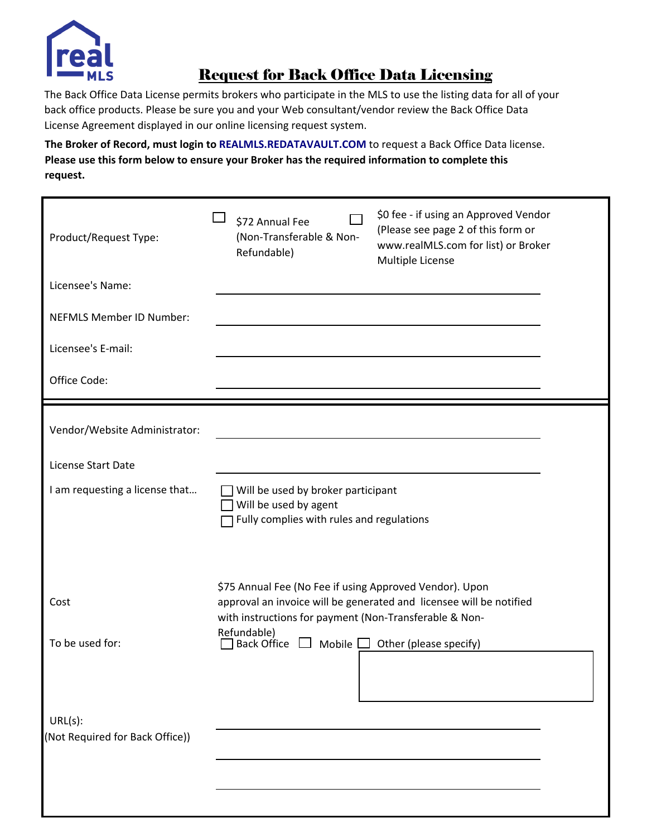

## Request for Back Office Data Licensing

The Back Office Data License permits brokers who participate in the MLS to use the listing data for all of your back office products. Please be sure you and your Web consultant/vendor review the Back Office Data License Agreement displayed in our online licensing request system.

**The Broker of Record, must login to [REALMLS.REDATAVAULT.COM](realmls.redatavault.com)** to request a Back Office Data license. **Please use this form below to ensure your Broker has the required information to complete this request.**

| Product/Request Type:           | \$72 Annual Fee<br>(Non-Transferable & Non-<br>Refundable)                                                        | \$0 fee - if using an Approved Vendor<br>(Please see page 2 of this form or<br>www.realMLS.com for list) or Broker<br>Multiple License |
|---------------------------------|-------------------------------------------------------------------------------------------------------------------|----------------------------------------------------------------------------------------------------------------------------------------|
| Licensee's Name:                |                                                                                                                   |                                                                                                                                        |
| <b>NEFMLS Member ID Number:</b> |                                                                                                                   |                                                                                                                                        |
| Licensee's E-mail:              |                                                                                                                   |                                                                                                                                        |
| Office Code:                    |                                                                                                                   |                                                                                                                                        |
| Vendor/Website Administrator:   |                                                                                                                   |                                                                                                                                        |
| License Start Date              |                                                                                                                   |                                                                                                                                        |
| I am requesting a license that  | Will be used by broker participant<br>Will be used by agent<br>Fully complies with rules and regulations          |                                                                                                                                        |
| Cost                            | \$75 Annual Fee (No Fee if using Approved Vendor). Upon<br>with instructions for payment (Non-Transferable & Non- | approval an invoice will be generated and licensee will be notified                                                                    |
| To be used for:                 | Refundable)<br>Back Office $\Box$ Mobile $\Box$ Other (please specify)                                            |                                                                                                                                        |
| URL(s):                         |                                                                                                                   |                                                                                                                                        |
| (Not Required for Back Office)) |                                                                                                                   |                                                                                                                                        |
|                                 |                                                                                                                   |                                                                                                                                        |
|                                 |                                                                                                                   |                                                                                                                                        |